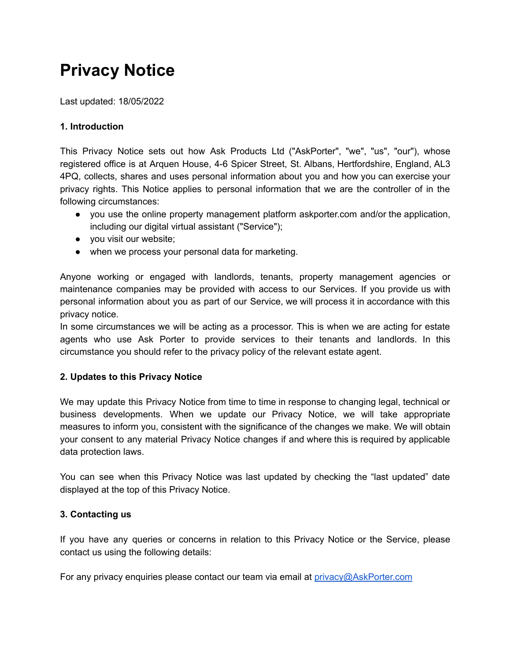# **Privacy Notice**

Last updated: 18/05/2022

# **1. Introduction**

This Privacy Notice sets out how Ask Products Ltd ("AskPorter", "we", "us", "our"), whose registered office is at Arquen House, 4-6 Spicer Street, St. Albans, Hertfordshire, England, AL3 4PQ, collects, shares and uses personal information about you and how you can exercise your privacy rights. This Notice applies to personal information that we are the controller of in the following circumstances:

- you use the online property management platform askporter.com and/or the application, including our digital virtual assistant ("Service");
- you visit our website;
- when we process your personal data for marketing.

Anyone working or engaged with landlords, tenants, property management agencies or maintenance companies may be provided with access to our Services. If you provide us with personal information about you as part of our Service, we will process it in accordance with this privacy notice.

In some circumstances we will be acting as a processor. This is when we are acting for estate agents who use Ask Porter to provide services to their tenants and landlords. In this circumstance you should refer to the privacy policy of the relevant estate agent.

# **2. Updates to this Privacy Notice**

We may update this Privacy Notice from time to time in response to changing legal, technical or business developments. When we update our Privacy Notice, we will take appropriate measures to inform you, consistent with the significance of the changes we make. We will obtain your consent to any material Privacy Notice changes if and where this is required by applicable data protection laws.

You can see when this Privacy Notice was last updated by checking the "last updated" date displayed at the top of this Privacy Notice.

# **3. Contacting us**

If you have any queries or concerns in relation to this Privacy Notice or the Service, please contact us using the following details:

For any privacy enquiries please contact our team via email at [privacy@AskPorter.com](mailto:privacy@AskPorter.com)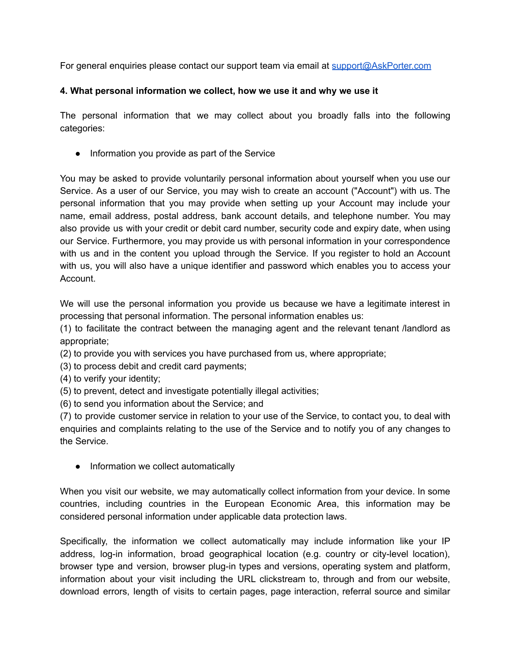For general enquiries please contact our support team via email at [support@AskPorter.com](mailto:support@AskPorter.com)

#### **4. What personal information we collect, how we use it and why we use it**

The personal information that we may collect about you broadly falls into the following categories:

● Information you provide as part of the Service

You may be asked to provide voluntarily personal information about yourself when you use our Service. As a user of our Service, you may wish to create an account ("Account") with us. The personal information that you may provide when setting up your Account may include your name, email address, postal address, bank account details, and telephone number. You may also provide us with your credit or debit card number, security code and expiry date, when using our Service. Furthermore, you may provide us with personal information in your correspondence with us and in the content you upload through the Service. If you register to hold an Account with us, you will also have a unique identifier and password which enables you to access your Account.

We will use the personal information you provide us because we have a legitimate interest in processing that personal information. The personal information enables us:

(1) to facilitate the contract between the managing agent and the relevant tenant /landlord as appropriate;

(2) to provide you with services you have purchased from us, where appropriate;

- (3) to process debit and credit card payments;
- (4) to verify your identity;
- (5) to prevent, detect and investigate potentially illegal activities;
- (6) to send you information about the Service; and

(7) to provide customer service in relation to your use of the Service, to contact you, to deal with enquiries and complaints relating to the use of the Service and to notify you of any changes to the Service.

• Information we collect automatically

When you visit our website, we may automatically collect information from your device. In some countries, including countries in the European Economic Area, this information may be considered personal information under applicable data protection laws.

Specifically, the information we collect automatically may include information like your IP address, log-in information, broad geographical location (e.g. country or city-level location), browser type and version, browser plug-in types and versions, operating system and platform, information about your visit including the URL clickstream to, through and from our website, download errors, length of visits to certain pages, page interaction, referral source and similar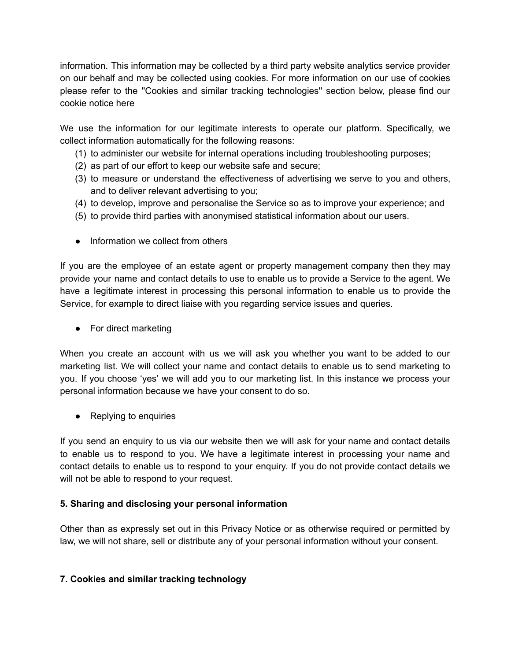information. This information may be collected by a third party website analytics service provider on our behalf and may be collected using cookies. For more information on our use of cookies please refer to the ''Cookies and similar tracking technologies'' section below, please find our cookie notice here

We use the information for our legitimate interests to operate our platform. Specifically, we collect information automatically for the following reasons:

- (1) to administer our website for internal operations including troubleshooting purposes;
- (2) as part of our effort to keep our website safe and secure;
- (3) to measure or understand the effectiveness of advertising we serve to you and others, and to deliver relevant advertising to you;
- (4) to develop, improve and personalise the Service so as to improve your experience; and
- (5) to provide third parties with anonymised statistical information about our users.
- Information we collect from others

If you are the employee of an estate agent or property management company then they may provide your name and contact details to use to enable us to provide a Service to the agent. We have a legitimate interest in processing this personal information to enable us to provide the Service, for example to direct liaise with you regarding service issues and queries.

● For direct marketing

When you create an account with us we will ask you whether you want to be added to our marketing list. We will collect your name and contact details to enable us to send marketing to you. If you choose 'yes' we will add you to our marketing list. In this instance we process your personal information because we have your consent to do so.

● Replying to enquiries

If you send an enquiry to us via our website then we will ask for your name and contact details to enable us to respond to you. We have a legitimate interest in processing your name and contact details to enable us to respond to your enquiry. If you do not provide contact details we will not be able to respond to your request.

# **5. Sharing and disclosing your personal information**

Other than as expressly set out in this Privacy Notice or as otherwise required or permitted by law, we will not share, sell or distribute any of your personal information without your consent.

# **7. Cookies and similar tracking technology**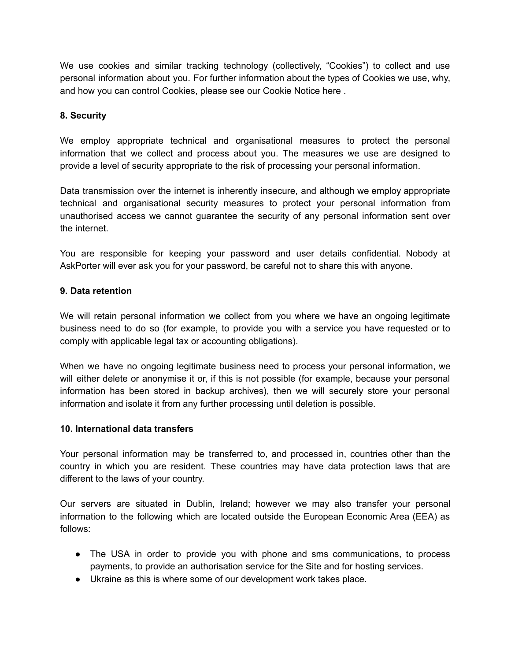We use cookies and similar tracking technology (collectively, "Cookies") to collect and use personal information about you. For further information about the types of Cookies we use, why, and how you can control Cookies, please see our Cookie Notice here .

### **8. Security**

We employ appropriate technical and organisational measures to protect the personal information that we collect and process about you. The measures we use are designed to provide a level of security appropriate to the risk of processing your personal information.

Data transmission over the internet is inherently insecure, and although we employ appropriate technical and organisational security measures to protect your personal information from unauthorised access we cannot guarantee the security of any personal information sent over the internet.

You are responsible for keeping your password and user details confidential. Nobody at AskPorter will ever ask you for your password, be careful not to share this with anyone.

#### **9. Data retention**

We will retain personal information we collect from you where we have an ongoing legitimate business need to do so (for example, to provide you with a service you have requested or to comply with applicable legal tax or accounting obligations).

When we have no ongoing legitimate business need to process your personal information, we will either delete or anonymise it or, if this is not possible (for example, because your personal information has been stored in backup archives), then we will securely store your personal information and isolate it from any further processing until deletion is possible.

#### **10. International data transfers**

Your personal information may be transferred to, and processed in, countries other than the country in which you are resident. These countries may have data protection laws that are different to the laws of your country.

Our servers are situated in Dublin, Ireland; however we may also transfer your personal information to the following which are located outside the European Economic Area (EEA) as follows:

- The USA in order to provide you with phone and sms communications, to process payments, to provide an authorisation service for the Site and for hosting services.
- Ukraine as this is where some of our development work takes place.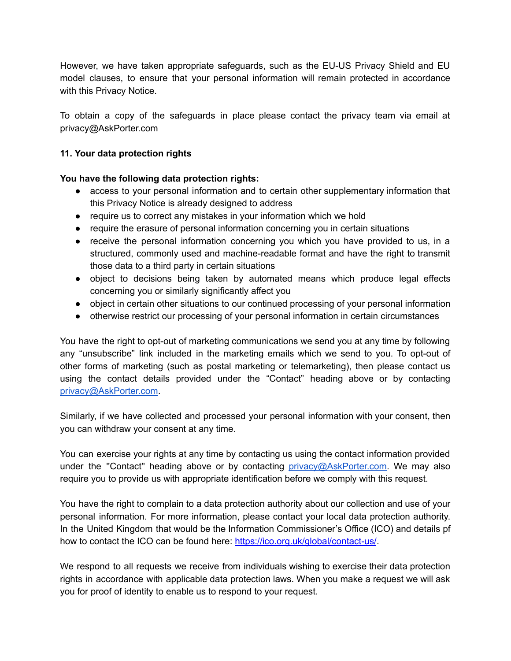However, we have taken appropriate safeguards, such as the EU-US Privacy Shield and EU model clauses, to ensure that your personal information will remain protected in accordance with this Privacy Notice.

To obtain a copy of the safeguards in place please contact the privacy team via email at privacy@AskPorter.com

# **11. Your data protection rights**

# **You have the following data protection rights:**

- access to your personal information and to certain other supplementary information that this Privacy Notice is already designed to address
- require us to correct any mistakes in your information which we hold
- require the erasure of personal information concerning you in certain situations
- receive the personal information concerning you which you have provided to us, in a structured, commonly used and machine-readable format and have the right to transmit those data to a third party in certain situations
- object to decisions being taken by automated means which produce legal effects concerning you or similarly significantly affect you
- object in certain other situations to our continued processing of your personal information
- otherwise restrict our processing of your personal information in certain circumstances

You have the right to opt-out of marketing communications we send you at any time by following any "unsubscribe" link included in the marketing emails which we send to you. To opt-out of other forms of marketing (such as postal marketing or telemarketing), then please contact us using the contact details provided under the "Contact" heading above or by contacting [privacy@AskPorter.com](mailto:privacy@AskPorter.com).

Similarly, if we have collected and processed your personal information with your consent, then you can withdraw your consent at any time.

You can exercise your rights at any time by contacting us using the contact information provided under the "Contact" heading above or by contacting [privacy@AskPorter.com.](mailto:privacy@AskPorter.com) We may also require you to provide us with appropriate identification before we comply with this request.

You have the right to complain to a data protection authority about our collection and use of your personal information. For more information, please contact your local data protection authority. In the United Kingdom that would be the Information Commissioner's Office (ICO) and details pf how to contact the ICO can be found here: <https://ico.org.uk/global/contact-us/>.

We respond to all requests we receive from individuals wishing to exercise their data protection rights in accordance with applicable data protection laws. When you make a request we will ask you for proof of identity to enable us to respond to your request.